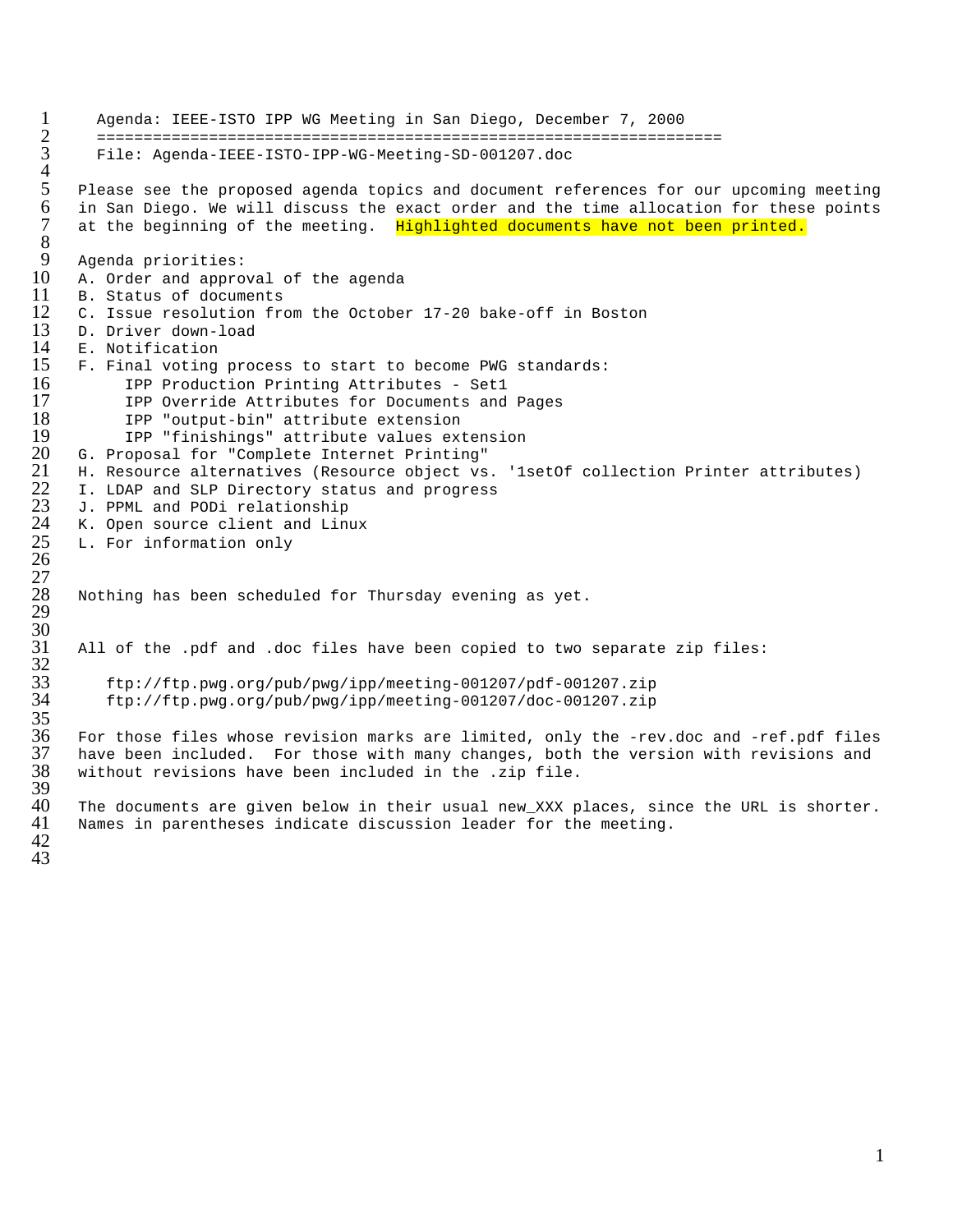```
1 Agenda: IEEE-ISTO IPP WG Meeting in San Diego, December 7, 2000
 2 ===================================================================
          3 File: Agenda-IEEE-ISTO-IPP-WG-Meeting-SD-001207.doc
 \frac{4}{5}5 Please see the proposed agenda topics and document references for our upcoming meeting<br>6 in San Diego. We will discuss the exact order and the time allocation for these points
 6 in San Diego. We will discuss the exact order and the time allocation for these points<br>7 at the beginning of the meeting. Highlighted documents have not been printed.
       at the beginning of the meeting. Highlighted documents have not been printed.
\frac{8}{9}9 Agenda priorities:<br>10 A. Order and appro
10 A. Order and approval of the agenda<br>11 B. Status of documents
11 B. Status of documents<br>12 C. Issue resolution fro
12 C. Issue resolution from the October 17-20 bake-off in Boston 13 D. Driver down-load
13 D. Driver down-load<br>14 E. Notification
14 E. Notification<br>15 F. Final voting
15 F. Final voting process to start to become PWG standards:<br>16 TPP Production Printing Attributes - Set1
16 1PP Production Printing Attributes - Set1<br>17 1PP Override Attributes for Documents and
17 IPP Override Attributes for Documents and Pages<br>18 IPP "output-bin" attribute extension
18 IPP "output-bin" attribute extension<br>19 IPP "finishings" attribute values ex
19 IPP "finishings" attribute values extension<br>20 G. Proposal for "Complete Internet Printing"
20 G. Proposal for "Complete Internet Printing"
21 H. Resource alternatives (Resource object vs. '1setOf collection Printer attributes)<br>22 I. LDAP and SLP Directory status and progress<br>23 J. PPML and PODi relationship<br>24 K. Open source client and Linux
       I. LDAP and SLP Directory status and progress
       J. PPML and PODi relationship
       K. Open source client and Linux
       L. For information only
26
27
       Nothing has been scheduled for Thursday evening as yet.
29
30
       31 All of the .pdf and .doc files have been copied to two separate zip files:
32
           33 ftp://ftp.pwg.org/pub/pwg/ipp/meeting-001207/pdf-001207.zip
           34 ftp://ftp.pwg.org/pub/pwg/ipp/meeting-001207/doc-001207.zip
rac{35}{36}36 For those files whose revision marks are limited, only the -rev.doc and -ref.pdf files 
37 have been included. For those with many changes, both the version with revisions and<br>38 without revisions have been included in the .zip file.
       without revisions have been included in the .zip file.
39<br>40
40 The documents are given below in their usual new_XXX places, since the URL is shorter.<br>41 Names in parentheses indicate discussion leader for the meeting.
       Names in parentheses indicate discussion leader for the meeting.
```
42 43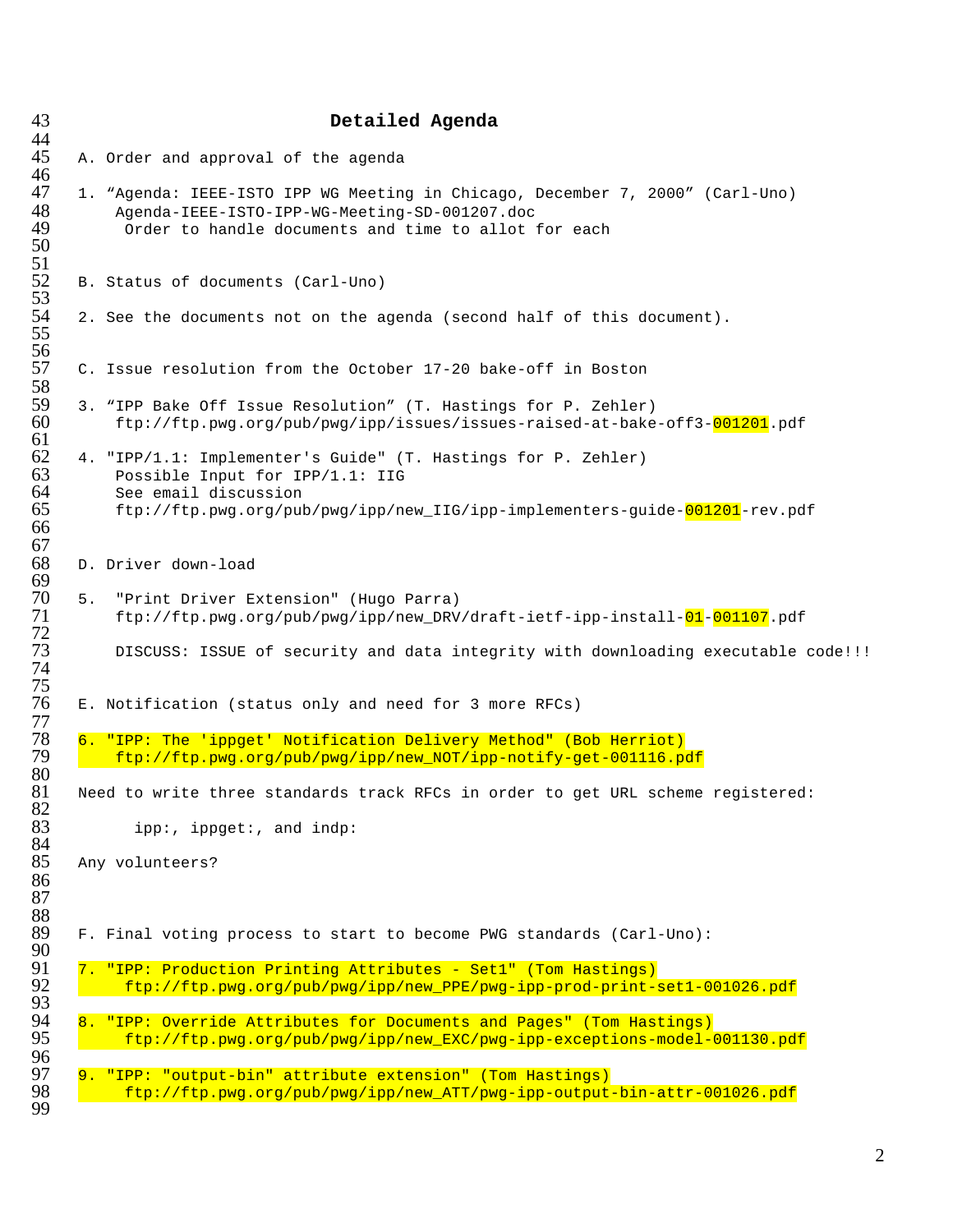|  | Detailed Agenda                                                                                                                                                                        |
|--|----------------------------------------------------------------------------------------------------------------------------------------------------------------------------------------|
|  | A. Order and approval of the agenda                                                                                                                                                    |
|  | 1. "Agenda: IEEE-ISTO IPP WG Meeting in Chicago, December 7, 2000" (Carl-Uno)<br>Agenda-IEEE-ISTO-IPP-WG-Meeting-SD-001207.doc<br>Order to handle documents and time to allot for each |
|  | B. Status of documents (Carl-Uno)                                                                                                                                                      |
|  | 2. See the documents not on the agenda (second half of this document).                                                                                                                 |
|  | C. Issue resolution from the October 17-20 bake-off in Boston                                                                                                                          |
|  | 3. "IPP Bake Off Issue Resolution" (T. Hastings for P. Zehler)<br>ftp://ftp.pwg.org/pub/pwg/ipp/issues/issues-raised-at-bake-off3-001201.pdf                                           |
|  | 4. "IPP/1.1: Implementer's Guide" (T. Hastings for P. Zehler)<br>Possible Input for IPP/1.1: IIG                                                                                       |
|  | See email discussion<br>ftp://ftp.pwg.org/pub/pwg/ipp/new_IIG/ipp-implementers-guide-001201-rev.pdf                                                                                    |
|  | D. Driver down-load                                                                                                                                                                    |
|  | 5. "Print Driver Extension" (Hugo Parra)<br>ftp://ftp.pwg.org/pub/pwg/ipp/new_DRV/draft-ietf-ipp-install-01-001107.pdf                                                                 |
|  | DISCUSS: ISSUE of security and data integrity with downloading executable code!!!                                                                                                      |
|  | E. Notification (status only and need for 3 more RFCs)                                                                                                                                 |
|  | 6. "IPP: The 'ippget' Notification Delivery Method" (Bob Herriot)<br>ftp://ftp.pwg.org/pub/pwg/ipp/new_NOT/ipp-notify-get-001116.pdf                                                   |
|  | Need to write three standards track RFCs in order to get URL scheme registered:                                                                                                        |
|  | ipp:, ippget:, and indp:                                                                                                                                                               |
|  | Any volunteers?                                                                                                                                                                        |
|  | F. Final voting process to start to become PWG standards (Carl-Uno):                                                                                                                   |
|  | 7. "IPP: Production Printing Attributes - Set1" (Tom Hastings)<br>ftp://ftp.pwg.org/pub/pwg/ipp/new_PPE/pwg-ipp-prod-print-set1-001026.pdf                                             |
|  | 8. "IPP: Override Attributes for Documents and Pages" (Tom Hastings)<br>ftp://ftp.pwg.org/pub/pwg/ipp/new_EXC/pwg-ipp-exceptions-model-001130.pdf                                      |
|  | 9. "IPP: "output-bin" attribute extension" (Tom Hastings)                                                                                                                              |
|  | ftp://ftp.pwg.org/pub/pwg/ipp/new_ATT/pwg-ipp-output-bin-attr-001026.pdf                                                                                                               |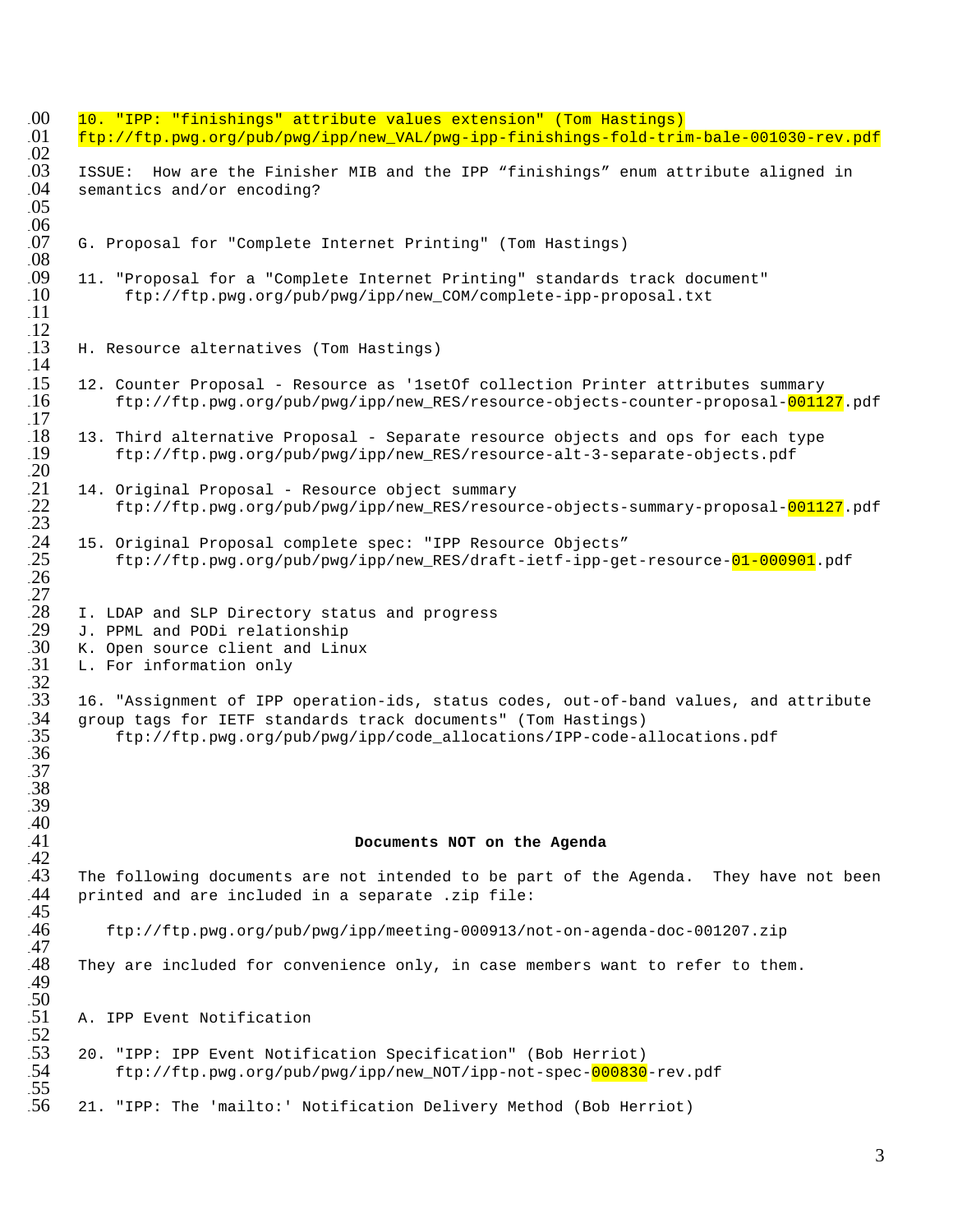```
00 10. "IPP: "finishings" attribute values extension" (Tom Hastings)<br>01 ftp://ftp.pwg.org/pub/pwg/ipp/new VAL/pwg-ipp-finishings-fold-trin
       101 ftp://ftp.pwg.org/pub/pwg/ipp/new_VAL/pwg-ipp-finishings-fold-trim-bale-001030-rev.pdf
\frac{02}{03}103 ISSUE: How are the Finisher MIB and the IPP "finishings" enum attribute aligned in<br>04 semantics and/or encoding?
       semantics and/or encoding?
105
\frac{.06}{07}G. Proposal for "Complete Internet Printing" (Tom Hastings)
\frac{0.08}{0.09}11. "Proposal for a "Complete Internet Printing" standards track document"<br>10 ftp://ftp.pwg.org/pub/pwg/ipp/new COM/complete-ipp-proposal.txt
             110 ftp://ftp.pwg.org/pub/pwg/ipp/new_COM/complete-ipp-proposal.txt
\overline{11}\frac{12}{13}H. Resource alternatives (Tom Hastings)
\frac{14}{15}.15   12. Counter Proposal – Resource as '1setOf collection Printer attributes summary<br>16        ftp://ftp.pwg.org/pub/pwg/ipp/new RES/resource-objects-counter-proposal-0011
            116 ftp://ftp.pwg.org/pub/pwg/ipp/new_RES/resource-objects-counter-proposal-001127.pdf
\frac{17}{18}.18  13. Third alternative Proposal - Separate resource objects and ops for each type<br>.19    ftp://ftp.pwg.org/pub/pwg/ipp/new RES/resource-alt-3-separate-objects.pdf
            119 ftp://ftp.pwg.org/pub/pwg/ipp/new_RES/resource-alt-3-separate-objects.pdf
120
       14. Original Proposal - Resource object summary
            122 ftp://ftp.pwg.org/pub/pwg/ipp/new_RES/resource-objects-summary-proposal-001127.pdf
123
       124 15. Original Proposal complete spec: "IPP Resource Objects"
            125 ftp://ftp.pwg.org/pub/pwg/ipp/new_RES/draft-ietf-ipp-get-resource-01-000901.pdf
126 
127
       I. LDAP and SLP Directory status and progress
       J. PPML and PODi relationship
       K. Open source client and Linux
       L. For information only
\frac{31}{32}<br>\frac{32}{33}133 16. "Assignment of IPP operation-ids, status codes, out-of-band values, and attribute 
       group tags for IETF standards track documents" (Tom Hastings)
            135 ftp://ftp.pwg.org/pub/pwg/ipp/code_allocations/IPP-code-allocations.pdf
136
137
138
139
\frac{40}{41}Documents NOT on the Agenda
\frac{42}{143}The following documents are not intended to be part of the Agenda. They have not been
144 printed and are included in a separate .zip file:
\frac{45}{46}146 ftp://ftp.pwg.org/pub/pwg/ipp/meeting-000913/not-on-agenda-doc-001207.zip
\frac{47}{48}They are included for convenience only, in case members want to refer to them.
149
\frac{50}{51}A. IPP Event Notification
.52<br>.53153 20. "IPP: IPP Event Notification Specification" (Bob Herriot)
            154 ftp://ftp.pwg.org/pub/pwg/ipp/new_NOT/ipp-not-spec-000830-rev.pdf
.55<br>.56156 21. "IPP: The 'mailto:' Notification Delivery Method (Bob Herriot)
```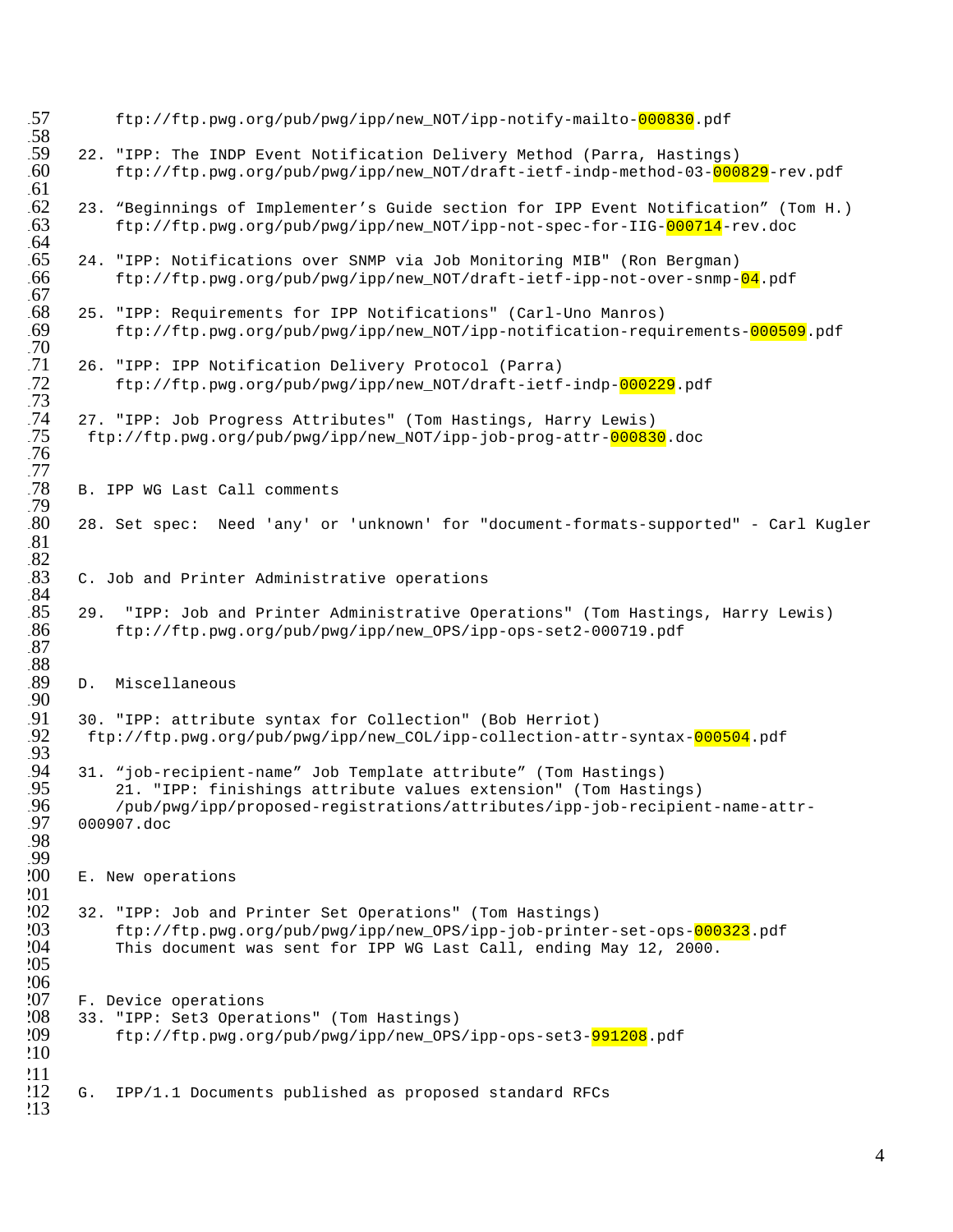```
157 ftp://ftp.pwg.org/pub/pwg/ipp/new_NOT/ipp-notify-mailto-000830.pdf
58<br>59
159 22. "IPP: The INDP Event Notification Delivery Method (Parra, Hastings)<br>60 ftp://ftp.pwg.org/pub/pwg/ipp/new NOT/draft-ietf-indp-method-03-000
            160 ftp://ftp.pwg.org/pub/pwg/ipp/new_NOT/draft-ietf-indp-method-03-000829-rev.pdf
\frac{61}{62}.62  23. "Beginnings of Implementer's Guide section for IPP Event Notification" (Tom H.)<br>.63    ftp://ftp.pwg.org/pub/pwg/ipp/new NOT/ipp-not-spec-for-IIG-000714-rev.doc
            163 ftp://ftp.pwg.org/pub/pwg/ipp/new_NOT/ipp-not-spec-for-IIG-000714-rev.doc
.64<br>.65165 24. "IPP: Notifications over SNMP via Job Monitoring MIB" (Ron Bergman)
166 ftp://ftp.pwg.org/pub/pwg/ipp/new_NOT/draft-ietf-ipp-not-over-snmp-04.pdf
.67<br>.68
168 25. "IPP: Requirements for IPP Notifications" (Carl-Uno Manros)
            169 ftp://ftp.pwg.org/pub/pwg/ipp/new_NOT/ipp-notification-requirements-000509.pdf
.70<br>.71
71 26. "IPP: IPP Notification Delivery Protocol (Parra)<br>72 ftp://ftp.pwg.org/pub/pwg/ipp/new_NOT/draft-ietf
            172 ftp://ftp.pwg.org/pub/pwg/ipp/new_NOT/draft-ietf-indp-000229.pdf
173
74 27. "IPP: Job Progress Attributes" (Tom Hastings, Harry Lewis).<br>75 ftp://ftp.pwg.org/pub/pwg/ipp/new_NOT/ipp-job-prog-attr-00083
        175 ftp://ftp.pwg.org/pub/pwg/ipp/new_NOT/ipp-job-prog-attr-000830.doc
176
177
       B. IPP WG Last Call comments
\frac{79}{80}180 28. Set spec: Need 'any' or 'unknown' for "document-formats-supported" - Carl Kugler
181
^{82}_{83}C. Job and Printer Administrative operations
\frac{84}{85}85 29. "IPP: Job and Printer Administrative Operations" (Tom Hastings, Harry Lewis)<br>86 ftp://ftp.pwg.org/pub/pwg/ipp/new_OPS/ipp-ops-set2-000719.pdf
            186 ftp://ftp.pwg.org/pub/pwg/ipp/new_OPS/ipp-ops-set2-000719.pdf
187
88<br>89
       D. Miscellaneous
190
       191 30. "IPP: attribute syntax for Collection" (Bob Herriot)
        192 ftp://ftp.pwg.org/pub/pwg/ipp/new_COL/ipp-collection-attr-syntax-000504.pdf
\frac{91}{92}<br>\frac{93}{94}194 31. "job-recipient-name" Job Template attribute" (Tom Hastings)
195 21. "IPP: finishings attribute values extension" (Tom Hastings)
196 /pub/pwg/ipp/proposed-registrations/attributes/ipp-job-recipient-name-attr-
       197 000907.doc
198
.99<br>.00E. New operations
201<br>202
202 32. "IPP: Job and Printer Set Operations" (Tom Hastings)<br>203 ftp://ftp.pwg.org/pub/pwg/ipp/new OPS/ipp-job-printe
203 ftp://ftp.pwg.org/pub/pwg/ipp/new_OPS/ipp-job-printer-set-ops-<mark>000323</mark>.pdf<br>204        This document was sent for IPP WG Last Call, ending May 12, 2000.
            This document was sent for IPP WG Last Call, ending May 12, 2000.
205^{206}_{207}207 F. Device operations<br>208 33. "IPP: Set3 Operat
208 33. "IPP: Set3 Operations" (Tom Hastings)<br>209 ftp://ftp.pwg.org/pub/pwg/ipp/new OPS
            209 ftp://ftp.pwg.org/pub/pwg/ipp/new_OPS/ipp-ops-set3-991208.pdf
210
211212 G. IPP/1.1 Documents published as proposed standard RFCs
213
```